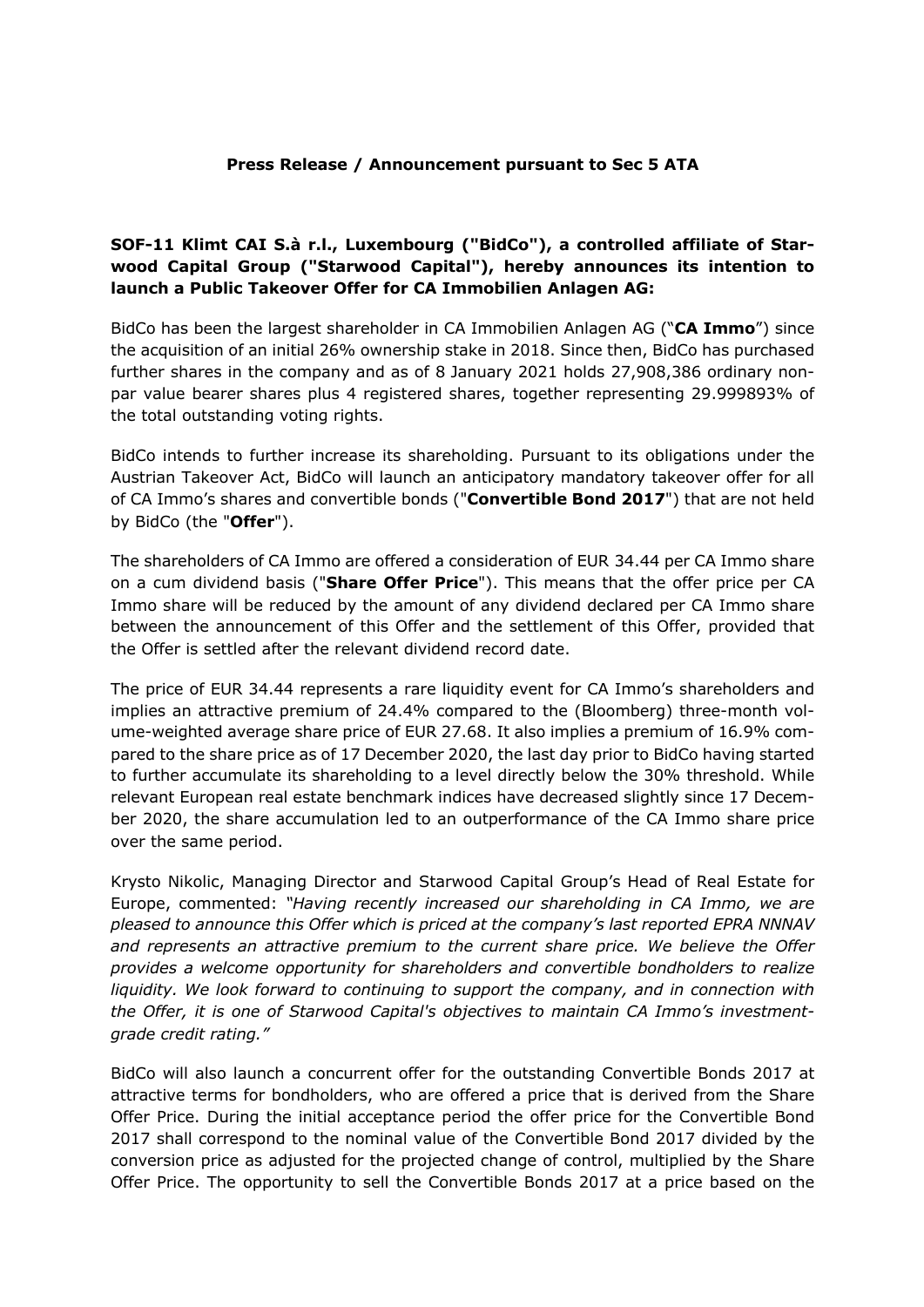## **Press Release / Announcement pursuant to Sec 5 ATA**

## **SOF-11 Klimt CAI S.à r.l., Luxembourg ("BidCo"), a controlled affiliate of Starwood Capital Group ("Starwood Capital"), hereby announces its intention to launch a Public Takeover Offer for CA Immobilien Anlagen AG:**

BidCo has been the largest shareholder in CA Immobilien Anlagen AG ("**CA Immo**") since the acquisition of an initial 26% ownership stake in 2018. Since then, BidCo has purchased further shares in the company and as of 8 January 2021 holds 27,908,386 ordinary nonpar value bearer shares plus 4 registered shares, together representing 29.999893% of the total outstanding voting rights.

BidCo intends to further increase its shareholding. Pursuant to its obligations under the Austrian Takeover Act, BidCo will launch an anticipatory mandatory takeover offer for all of CA Immo's shares and convertible bonds ("**Convertible Bond 2017**") that are not held by BidCo (the "**Offer**").

The shareholders of CA Immo are offered a consideration of EUR 34.44 per CA Immo share on a cum dividend basis ("**Share Offer Price**"). This means that the offer price per CA Immo share will be reduced by the amount of any dividend declared per CA Immo share between the announcement of this Offer and the settlement of this Offer, provided that the Offer is settled after the relevant dividend record date.

The price of EUR 34.44 represents a rare liquidity event for CA Immo's shareholders and implies an attractive premium of 24.4% compared to the (Bloomberg) three-month volume-weighted average share price of EUR 27.68. It also implies a premium of 16.9% compared to the share price as of 17 December 2020, the last day prior to BidCo having started to further accumulate its shareholding to a level directly below the 30% threshold. While relevant European real estate benchmark indices have decreased slightly since 17 December 2020, the share accumulation led to an outperformance of the CA Immo share price over the same period.

Krysto Nikolic, Managing Director and Starwood Capital Group's Head of Real Estate for Europe, commented: *"Having recently increased our shareholding in CA Immo, we are pleased to announce this Offer which is priced at the company's last reported EPRA NNNAV and represents an attractive premium to the current share price. We believe the Offer provides a welcome opportunity for shareholders and convertible bondholders to realize liquidity. We look forward to continuing to support the company, and in connection with the Offer, it is one of Starwood Capital's objectives to maintain CA Immo's investmentgrade credit rating."*

BidCo will also launch a concurrent offer for the outstanding Convertible Bonds 2017 at attractive terms for bondholders, who are offered a price that is derived from the Share Offer Price. During the initial acceptance period the offer price for the Convertible Bond 2017 shall correspond to the nominal value of the Convertible Bond 2017 divided by the conversion price as adjusted for the projected change of control, multiplied by the Share Offer Price. The opportunity to sell the Convertible Bonds 2017 at a price based on the